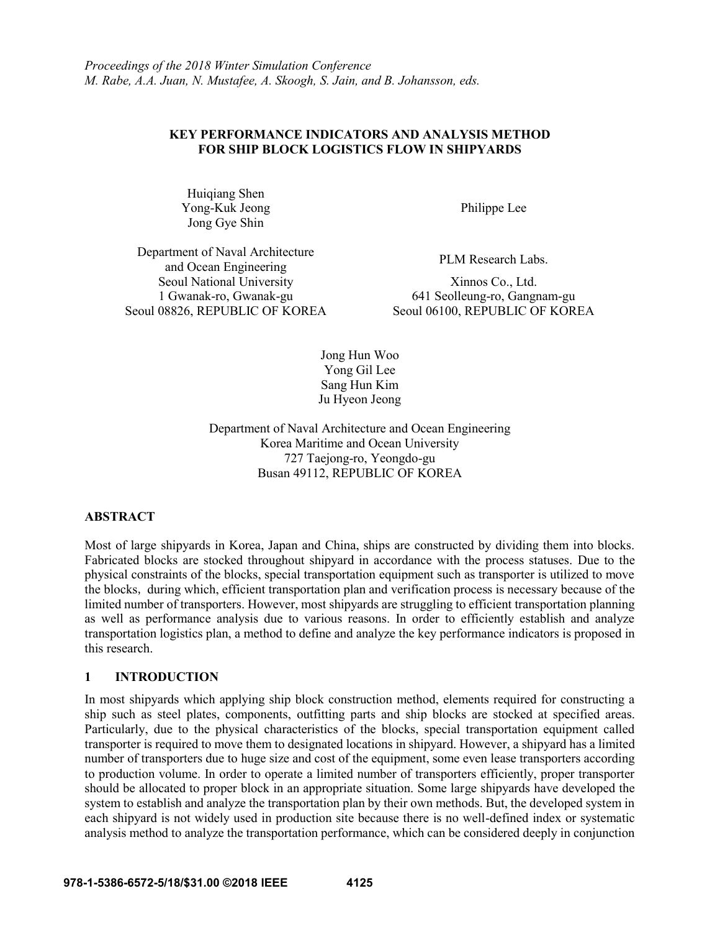## **KEY PERFORMANCE INDICATORS AND ANALYSIS METHOD FOR SHIP BLOCK LOGISTICS FLOW IN SHIPYARDS**

Huiqiang Shen Yong-Kuk Jeong Jong Gye Shin

Philippe Lee

Department of Naval Architecture Finient of Islam Architecture<br>and Ocean Engineering PLM Research Labs. Seoul National University 1 Gwanak-ro, Gwanak-gu Seoul 08826, REPUBLIC OF KOREA

Xinnos Co., Ltd. 641 Seolleung-ro, Gangnam-gu

Jong Hun Woo Yong Gil Lee Sang Hun Kim Ju Hyeon Jeong

Department of Naval Architecture and Ocean Engineering Korea Maritime and Ocean University 727 Taejong-ro, Yeongdo-gu Busan 49112, REPUBLIC OF KOREA

## **ABSTRACT**

Most of large shipyards in Korea, Japan and China, ships are constructed by dividing them into blocks. Fabricated blocks are stocked throughout shipyard in accordance with the process statuses. Due to the physical constraints of the blocks, special transportation equipment such as transporter is utilized to move the blocks, during which, efficient transportation plan and verification process is necessary because of the limited number of transporters. However, most shipyards are struggling to efficient transportation planning as well as performance analysis due to various reasons. In order to efficiently establish and analyze transportation logistics plan, a method to define and analyze the key performance indicators is proposed in this research.

## **1 INTRODUCTION**

In most shipyards which applying ship block construction method, elements required for constructing a ship such as steel plates, components, outfitting parts and ship blocks are stocked at specified areas. Particularly, due to the physical characteristics of the blocks, special transportation equipment called transporter is required to move them to designated locations in shipyard. However, a shipyard has a limited number of transporters due to huge size and cost of the equipment, some even lease transporters according to production volume. In order to operate a limited number of transporters efficiently, proper transporter should be allocated to proper block in an appropriate situation. Some large shipyards have developed the system to establish and analyze the transportation plan by their own methods. But, the developed system in each shipyard is not widely used in production site because there is no well-defined index or systematic analysis method to analyze the transportation performance, which can be considered deeply in conjunction